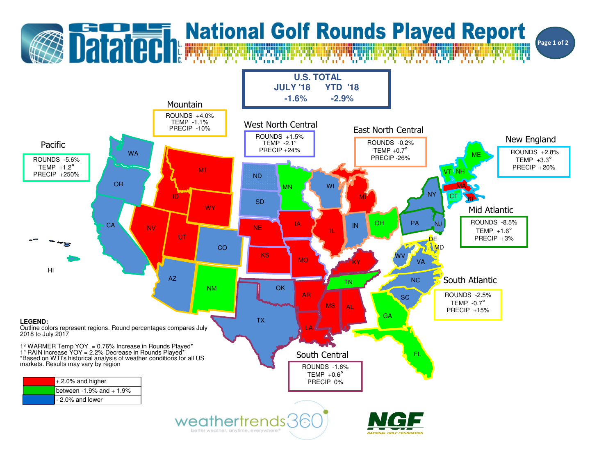